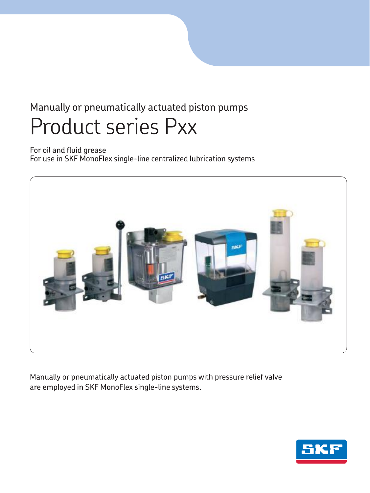# Manually or pneumatically actuated piston pumps Product series Pxx

For oil and fluid grease For use in SKF MonoFlex single-line centralized lubrication systems



Manually or pneumatically actuated piston pumps with pressure relief valve are employed in SKF MonoFlex single-line systems.

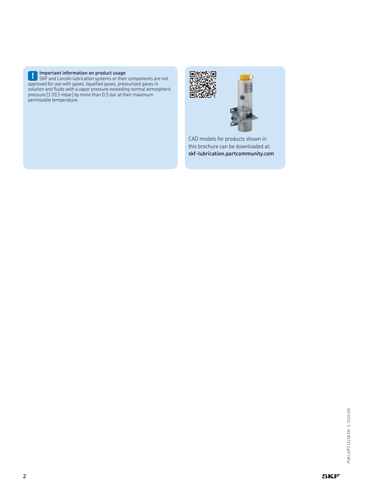

**! Important information on product usage** SKF and Lincoln lubrication systems or their components are not approved for use with gases, liquefied gases, pressurized gases in solution and fluids with a vapor pressure exceeding normal atmospheric pressure (1 013 mbar) by more than 0,5 bar at their maximum permissible temperature.





CAD models for products shown in this brochure can be downloaded at: **skf-lubrication.partcommunity.com**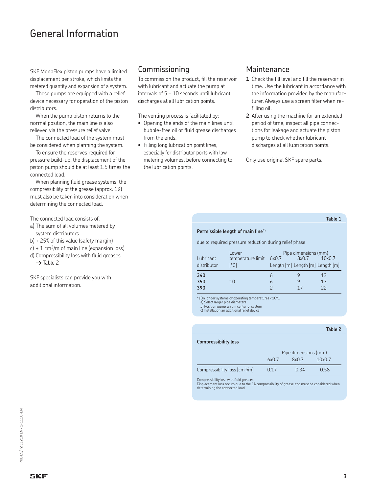### General Information

SKF MonoFlex piston pumps have a limited displacement per stroke, which limits the metered quantity and expansion of a system.

These pumps are equipped with a relief device necessary for operation of the piston distributors.

When the pump piston returns to the normal position, the main line is also relieved via the pressure relief valve.

The connected load of the system must be considered when planning the system.

To ensure the reserves required for pressure build-up, the displacement of the piston pump should be at least 1.5 times the connected load.

When planning fluid grease systems, the compressibility of the grease (approx. 1%) must also be taken into consideration when determining the connected load.

The connected load consists of:

a) The sum of all volumes metered by system distributors

b) + 25% of this value (safety margin)

- $c$ ) + 1 cm<sup>3</sup>/m of main line (expansion loss)
- d) Compressibility loss with fluid greases → Table 2

SKF specialists can provide you with additional information.

### Commissioning

To commission the product, fill the reservoir with lubricant and actuate the pump at intervals of 5 – 10 seconds until lubricant discharges at all lubrication points.

The venting process is facilitated by:

- Opening the ends of the main lines until bubble-free oil or fluid grease discharges from the ends.
- Filling long lubrication point lines, especially for distributor ports with low metering volumes, before connecting to the lubrication points.

#### Maintenance

- **1** Check the fill level and fill the reservoir in time. Use the lubricant in accordance with the information provided by the manufacturer. Always use a screen filter when refilling oil.
- **2** After using the machine for an extended period of time, inspect all pipe connections for leakage and actuate the piston pump to check whether lubricant discharges at all lubrication points.

Only use original SKF spare parts.

#### **Table 1**

#### **Permissible length of main line\*)**

due to required pressure reduction during relief phase

| Lubricant<br>distributor | Lower<br>temperature limit 6x0.7<br>ləCJ | Length [m] Length [m] Length [m] | Pipe dimensions (mm)<br>8x0.7 | $10\times0.7$  |
|--------------------------|------------------------------------------|----------------------------------|-------------------------------|----------------|
| 340<br>350<br>390        | 10                                       | 6                                |                               | 13<br>13<br>22 |

\*) On longer systems or operating temperatures <10°C

a) Select larger pipe diameters b) Position pump unit in center of system c) Installation an additional relief device

|                                               |       |                      | Table 2 |  |
|-----------------------------------------------|-------|----------------------|---------|--|
| <b>Compressibility loss</b>                   |       |                      |         |  |
|                                               |       | Pipe dimensions (mm) |         |  |
|                                               | 6x0.7 | 8x0.7                | 10x0.7  |  |
| Compressibility loss $\text{[cm}^3\text{/m}]$ | 0.17  | 0.34                 | 0.58    |  |

Compressibility loss with fluid greases

Displacement loss occurs due to the 1% compressibility of grease and must be considered when determining the connected load.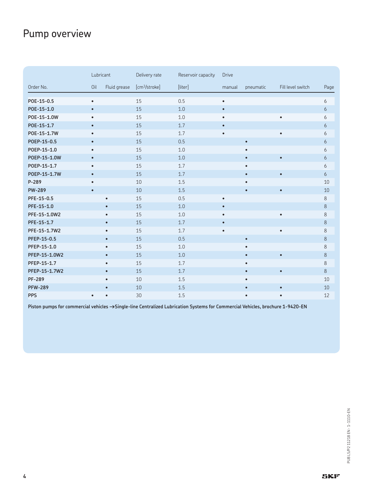## Pump overview

|                | Lubricant |              | Delivery rate             | Reservoir capacity | <b>Drive</b> |           |                   |         |
|----------------|-----------|--------------|---------------------------|--------------------|--------------|-----------|-------------------|---------|
| Order No.      | Oil       | Fluid grease | [cm <sup>3</sup> /stroke] | [liter]            | manual       | pneumatic | Fill level switch | Page    |
| POE-15-0.5     | $\bullet$ |              | 15                        | 0.5                | $\bullet$    |           |                   | 6       |
| POE-15-1.0     | $\bullet$ |              | 15                        | 1.0                | $\bullet$    |           |                   | 6       |
| P0E-15-1.0W    | $\bullet$ |              | 15                        | 1.0                | $\bullet$    |           | $\bullet$         | 6       |
| POE-15-1.7     | $\bullet$ |              | 15                        | 1.7                | $\bullet$    |           |                   | 6       |
| P0E-15-1.7W    | $\bullet$ |              | 15                        | 1.7                | $\bullet$    |           | $\bullet$         | 6       |
| POEP-15-0.5    | $\bullet$ |              | 15                        | 0.5                |              | $\bullet$ |                   | 6       |
| POEP-15-1.0    | $\bullet$ |              | 15                        | 1.0                |              | $\bullet$ |                   | 6       |
| P0EP-15-1.0W   | $\bullet$ |              | 15                        | 1.0                |              | $\bullet$ | $\bullet$         | 6       |
| P0EP-15-1.7    | $\bullet$ |              | 15                        | 1.7                |              | $\bullet$ |                   | 6       |
| P0EP-15-1.7W   | $\bullet$ |              | 15                        | 1.7                |              | $\bullet$ | $\bullet$         | 6       |
| P-289          | $\bullet$ |              | 10                        | 1.5                |              | $\bullet$ |                   | 10      |
| <b>PW-289</b>  | $\bullet$ |              | 10                        | 1.5                |              | $\bullet$ | $\bullet$         | 10      |
| PFE-15-0.5     |           | $\bullet$    | 15                        | 0.5                | $\bullet$    |           |                   | $\,8\,$ |
| PFE-15-1.0     |           | $\bullet$    | 15                        | 1.0                | $\bullet$    |           |                   | 8       |
| PFE-15-1.0W2   |           | $\bullet$    | 15                        | 1.0                | $\bullet$    |           | $\bullet$         | 8       |
| PFE-15-1.7     |           | $\bullet$    | 15                        | 1.7                | $\bullet$    |           |                   | 8       |
| PFE-15-1.7W2   |           | $\bullet$    | 15                        | 1.7                | $\bullet$    |           | $\bullet$         | $\,8\,$ |
| PFEP-15-0.5    |           | $\bullet$    | 15                        | 0.5                |              | $\bullet$ |                   | $\,8\,$ |
| PFEP-15-1.0    |           | $\bullet$    | 15                        | 1.0                |              | $\bullet$ |                   | 8       |
| PFEP-15-1.0W2  |           | $\bullet$    | 15                        | 1.0                |              | $\bullet$ | $\bullet$         | 8       |
| PFEP-15-1.7    |           | $\bullet$    | 15                        | 1.7                |              | $\bullet$ |                   | 8       |
| PFEP-15-1.7W2  |           | $\bullet$    | 15                        | 1.7                |              | $\bullet$ | $\bullet$         | 8       |
| <b>PF-289</b>  |           | $\bullet$    | 10                        | 1.5                |              | $\bullet$ |                   | 10      |
| <b>PFW-289</b> |           | $\bullet$    | 10                        | 1.5                |              | $\bullet$ | $\bullet$         | 10      |
| <b>PPS</b>     | $\bullet$ | $\bullet$    | 30                        | 1.5                |              | $\bullet$ | $\bullet$         | 12      |

Piston pumps for commercial vehicles  $\rightarrow$ Single-line Centralized Lubrication Systems for Commercial Vehicles, brochure 1-9420-EN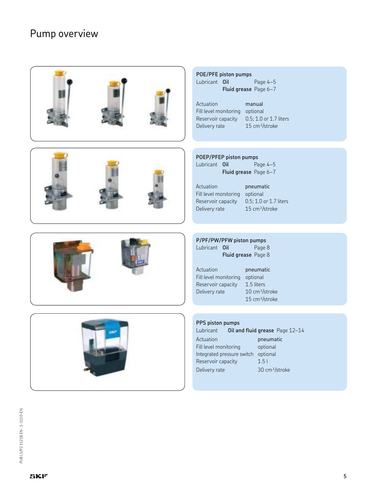### Pump overview









#### **POE/PFE piston pumps** Lubricant **Oil** Page 4–5 **Fluid grease** Page 6–7

Actuation manual Reservoir capacity Delivery rate 15 cm<sup>3</sup>/stroke

Fill level monitoring optional<br>Reservoir capacity 0.5; 1.0 or 1.7 liters

#### **POEP/PFEP piston pumps**

| Lubricant Oil |                                | Page $4-5$ |
|---------------|--------------------------------|------------|
|               | <b>Fluid grease</b> Page $6-7$ |            |

Actuation pneumatic Reservoir capacity Delivery rate 15 cm<sup>3</sup>/stroke

Fill level monitoring optional<br>Reservoir capacity 0.5; 1.0 or 1.7 liters

#### **P/PF/PW/PFW piston pumps** Lubricant **Oil** Page 8

| ויש יונעוונג |                            | r ayc o |
|--------------|----------------------------|---------|
|              | <b>Fluid grease</b> Page 8 |         |

Actuation pneumatic Fill level monitoring optional Reservoir capacity 1.5 liters Delivery rate 10 cm<sup>3</sup>/stroke 15 cm³/stroke

#### **PPS piston pumps**

Lubricant **Oil and fluid grease** Page 12–14 Actuation **pneumatic** Fill level monitoring optional Integrated pressure switch optional Reservoir capacity 1.5 l Delivery rate 30 cm<sup>3</sup>/stroke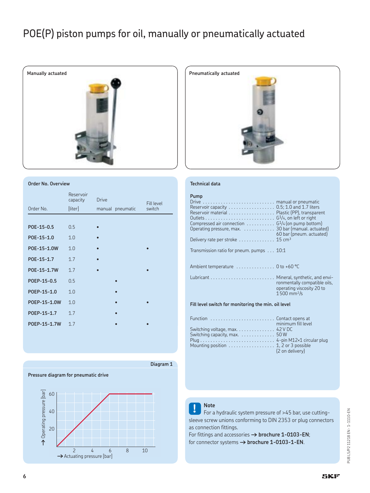### POE(P) piston pumps for oil, manually or pneumatically actuated



#### **Order No. Overview**

|              | Reservoir<br>capacity | <b>Drive</b>     | <b>Fill level</b> |
|--------------|-----------------------|------------------|-------------------|
| Order No.    | [liter]               | manual pneumatic | switch            |
|              |                       |                  |                   |
| POE-15-0.5   | 0.5                   |                  |                   |
| POE-15-1.0   | 1.0                   |                  |                   |
| P0E-15-1.0W  | 1.0                   |                  |                   |
| POE-15-1.7   | 1.7                   |                  |                   |
| P0E-15-1.7W  | 1.7                   |                  |                   |
| POEP-15-0.5  | 0.5                   |                  |                   |
| POEP-15-1.0  | 1.0                   | $\bullet$        |                   |
| P0EP-15-1.0W | 1.0                   | $\bullet$        |                   |
| P0EP-15-1.7  | 1.7                   |                  |                   |
| P0EP-15-1.7W | 1.7                   |                  |                   |





#### **Technical data**

#### **Pump**

| The computation of the                                                                                                                 | $C = 12.1$ $\pm 12.1$                                                                  |  |  |  |
|----------------------------------------------------------------------------------------------------------------------------------------|----------------------------------------------------------------------------------------|--|--|--|
| Fill level switch for monitoring the min. oil level                                                                                    |                                                                                        |  |  |  |
|                                                                                                                                        | ronmentally compatible oils.<br>operating viscosity 20 to<br>$1500$ mm <sup>2</sup> /s |  |  |  |
| Ambient temperature  0 to +60 °C                                                                                                       |                                                                                        |  |  |  |
| Transmission ratio for pneum. pumps 10:1                                                                                               |                                                                                        |  |  |  |
| Delivery rate per stroke 15 cm <sup>3</sup>                                                                                            |                                                                                        |  |  |  |
| Compressed air connection $\ldots \ldots \ldots$ $6\frac{1}{4}$ (on pump bottom)<br>Operating pressure, max. 30 bar (manual. actuated) | 60 bar (pneum. actuated)                                                               |  |  |  |
|                                                                                                                                        |                                                                                        |  |  |  |
| Reservoir capacity 0.5; 1.0 and 1.7 liters<br>Reservoir material Plastic (PP), transparent                                             |                                                                                        |  |  |  |
|                                                                                                                                        |                                                                                        |  |  |  |

|                                                                           | minimum fill level |
|---------------------------------------------------------------------------|--------------------|
|                                                                           |                    |
| Switching capacity, $max.$ 50 W                                           |                    |
|                                                                           |                    |
| Mounting position $\ldots \ldots \ldots \ldots \ldots$ 1, 2 or 3 possible |                    |
|                                                                           | (2 on delivery)    |
|                                                                           |                    |

**! Note** For a hydraulic system pressure of >45 bar, use cuttingsleeve screw unions conforming to DIN 2353 or plug connectors as connection fittings.

For fittings and accessories  $\rightarrow$  brochure 1-0103-EN; for connector systems  $\rightarrow$  brochure 1-0103-1-EN.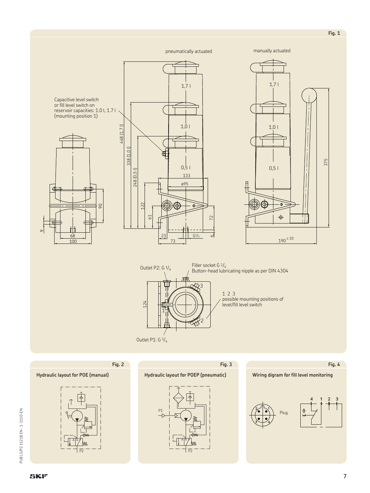Capacitive level switch or fill level switch on reservoir capacities: 1.0 l, 1.7 l (mounting position 1)







3 2 1 124 Filler socket G  $\frac{1}{4}$ <br>Button-head lubricating nipple as per DIN 4304 Outlet P1: G 1/4 Outlet P2:  $G_1/4$ 1 2 3 possible mounting positions of level/fill level switch

**Fig. 3**

**Fig. 2**

#### **Hydraulic layout for POE (manual)**







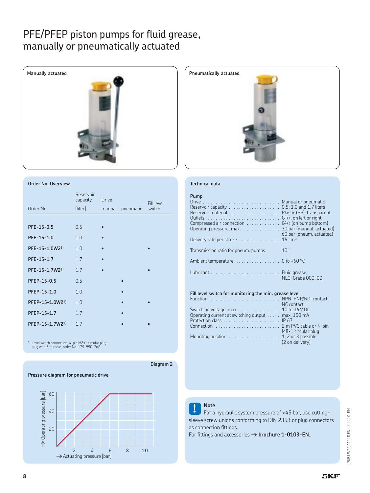### PFE/PFEP piston pumps for fluid grease, manually or pneumatically actuated



#### **Order No. Overview**

|                             | Reservoir<br>capacity | <b>Drive</b> |           | <b>Fill level</b> |
|-----------------------------|-----------------------|--------------|-----------|-------------------|
| Order No.                   | [liter]               | manual       | pneumatic | switch            |
|                             |                       |              |           |                   |
| PFE-15-0.5                  | 0.5                   | $\bullet$    |           |                   |
| PFE-15-1.0                  | 1.0                   |              |           |                   |
| PFE-15-1.0W21)              | 1.0                   |              |           |                   |
| PFE-15-1.7                  | 1.7                   |              |           |                   |
| $PFE-15-1.7W2^{1}$          | 1.7                   |              |           |                   |
| PFEP-15-0.5                 | 0.5                   |              | $\bullet$ |                   |
| PFEP-15-1.0                 | 1.0                   |              | $\bullet$ |                   |
| PFEP-15-1.0W2 <sup>1)</sup> | 1.0                   |              | $\bullet$ |                   |
| PFEP-15-1.7                 | 1.7                   |              |           |                   |
| PFEP-15-1.7W2 <sup>1)</sup> | 1.7                   |              |           |                   |

1) Level switch connection, 4-pin M8x1 circular plug, plug with 5 m cable, order No. 179-990-762





#### **Technical data**

#### **Pump**

| Drive  Manual or pneumatic                                                       |                          |
|----------------------------------------------------------------------------------|--------------------------|
|                                                                                  |                          |
|                                                                                  |                          |
| Compressed air connection $\ldots \ldots \ldots \ldots$ $G^1/4$ (on pump bottom) |                          |
|                                                                                  |                          |
| Delivery rate per stroke $\dots\dots\dots\dots\dots$ 15 cm <sup>3</sup>          | 60 bar (pneum. actuated) |
| Transmission ratio for pneum. pumps                                              | 10:1                     |
| Ambient temperature  0 to +60 °C                                                 |                          |
|                                                                                  | NLGI Grade 000, 00       |

#### **Fill level switch for monitoring the min. grease level**

|                                                   | NC contact         |
|---------------------------------------------------|--------------------|
|                                                   |                    |
| Operating current at switching output max. 150 mA |                    |
|                                                   |                    |
|                                                   |                    |
|                                                   | M8×1 circular plug |
|                                                   | (2 on delivery)    |
|                                                   |                    |



### **! Note** For a hydraulic system pressure of >45 bar, use cuttingsleeve screw unions conforming to DIN 2353 or plug connectors as connection fittings.

For fittings and accessories  $\rightarrow$  brochure 1-0103-EN..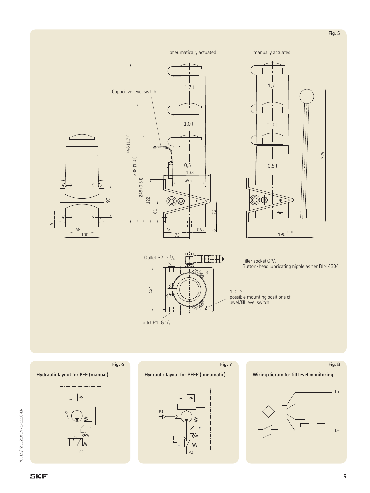

**SKF** 

**Hydraulic layout for PFE (manual)**

**Fig. 6**



Outlet P1: G 1/4



**Fig. 7**





**9**

**Fig. 5**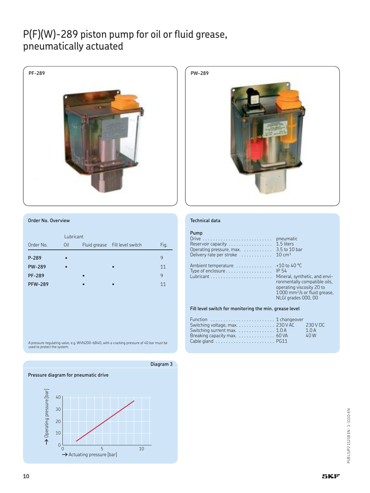### P(F)(W)-289 piston pump for oil or fluid grease, pneumatically actuated





#### **Order No. Overview**

|                | Lubricant |  |                                |      |  |
|----------------|-----------|--|--------------------------------|------|--|
| Order No.      | Oil       |  | Fluid grease Fill level switch | Fig. |  |
| P-289          |           |  |                                | 9    |  |
| <b>PW-289</b>  |           |  | $\bullet$                      | 11   |  |
| <b>PF-289</b>  |           |  |                                | 9    |  |
| <b>PFW-289</b> |           |  |                                | 11   |  |

A pressure regulating valve, e.g. WVN200-6B40, with a cracking pressure of 40 bar must be used to protect the system.



#### **Technical data**

#### **Pump**

| Reservoir capacity 1.5 liters<br>Operating pressure, max. $\ldots \ldots \ldots$ 3.5 to 10 bar<br>Delivery rate per stroke $\dots\dots\dots\dots$ 10 cm <sup>3</sup> |                                                                                                                                                                 |
|----------------------------------------------------------------------------------------------------------------------------------------------------------------------|-----------------------------------------------------------------------------------------------------------------------------------------------------------------|
| Ambient temperature $\ldots \ldots \ldots \ldots$ +10 to 40 °C<br>Type of enclosure $\dots\dots\dots\dots\dots\dots$ IP 54                                           | Mineral, synthetic, and envi-<br>ronmentally compatible oils,<br>operating viscosity 20 to<br>$1000$ mm <sup>2</sup> /s or fluid grease,<br>NLGI grades 000, 00 |

**Fill level switch for monitoring the min. grease level**

| Function  1 changeover                    |      |
|-------------------------------------------|------|
| Switching voltage, max. 230 V AC 230 V DC |      |
| Switching surrent max. 1.0 A              | 1.0A |
| Breaking capacity max. 60 VA              | 40 W |
|                                           |      |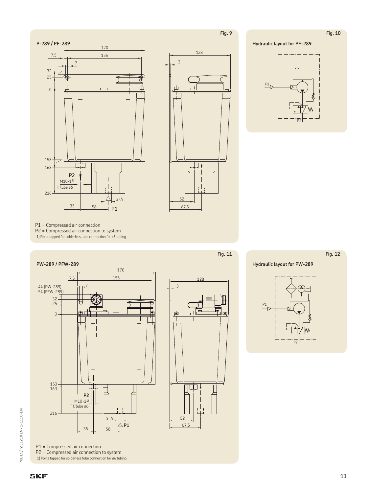**Fig. 10**

**Fig. 12**

**Hydraulic layout for PF-289**







P1 = Compressed air connection P2 = Compressed air connection to system 1) Ports tapped for solderless tube connection for ø6 tubing



P1 = Compressed air connection P2 = Compressed air connection to system 1) Ports tapped for solderless tube connection for ø6 tubing



**Fig. 11**

**Hydraulic layout for PW-289**

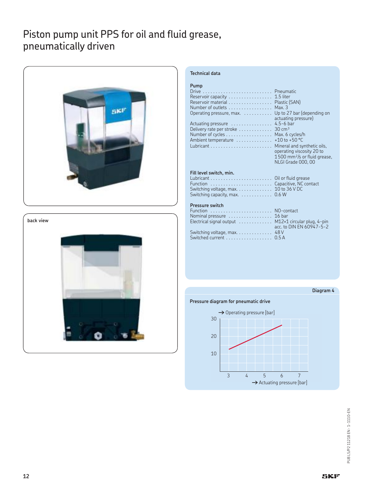### Piston pump unit PPS for oil and fluid grease, pneumatically driven



**back view**



#### **Technical data**

| Pump<br>Reservoir capacity<br>Reservoir material<br>Number of outlets<br>Operating pressure, max.<br>Actuating pressure<br>Delivery rate per stroke<br>Number of cycles<br>Ambient temperature | Pneumatic<br>1.5 liter<br>Plastic (SAN)<br>Max.3<br>Up to 27 bar (depending on<br>actuating pressure)<br>$4.5 - 6$ bar<br>$30 \text{ cm}^3$<br>Max. 6 cycles/h<br>+10 to +50 $^{\circ}$ C<br>Mineral and synthetic oils,<br>operating viscosity 20 to<br>$1500$ mm <sup>2</sup> /s or fluid grease,<br>NLGI Grade 000, 00 |
|------------------------------------------------------------------------------------------------------------------------------------------------------------------------------------------------|---------------------------------------------------------------------------------------------------------------------------------------------------------------------------------------------------------------------------------------------------------------------------------------------------------------------------|
|------------------------------------------------------------------------------------------------------------------------------------------------------------------------------------------------|---------------------------------------------------------------------------------------------------------------------------------------------------------------------------------------------------------------------------------------------------------------------------------------------------------------------------|

#### **Fill level switch, min.**

| Switching capacity, max. $\ldots \ldots \ldots$ 0.6 W |  |
|-------------------------------------------------------|--|

#### **Pressure switch**

| Function  NO-contact                                 |                          |
|------------------------------------------------------|--------------------------|
| Nominal pressure  16 bar                             |                          |
| Electrical signal output  M12×1 circular plug, 4-pin |                          |
|                                                      | acc. to DIN EN 60947-5-2 |
| Switching voltage, max. 48 V                         |                          |
| Switched current 0.5 A                               |                          |

#### **Diagram 4**

#### **Pressure diagram for pneumatic drive**

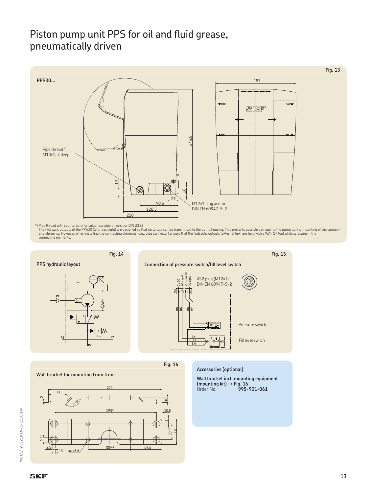### Piston pump unit PPS for oil and fluid grease, pneumatically driven



\*) Pipe thread with counterbore for solderless pipe unions per DIN 2353<br>The hydraulic outputs of the PPS30 (left, rear, right) are designed so that no torque can be transmitted to the pump housing. This prevents possible d





**Fig. 16**

**Wall bracket for mounting from front**



**Accessories (optional)**

**Wall bracket incl. mounting equipment (mounting kit)** † **Fig. 16** Order No. **995-901-061**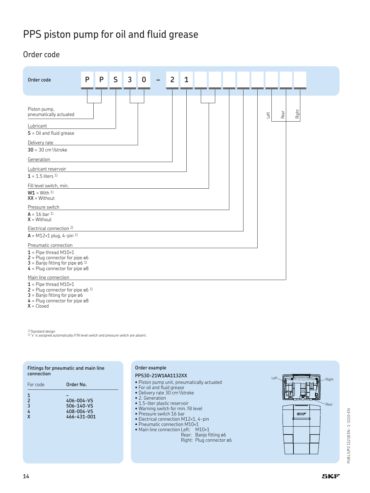## PPS piston pump for oil and fluid grease

### Order code

| Order code                                                                                                                                                               | P<br>P | S<br>$\overline{3}$ | 0 | 1<br>$\overline{2}$ |  |              |       |  |
|--------------------------------------------------------------------------------------------------------------------------------------------------------------------------|--------|---------------------|---|---------------------|--|--------------|-------|--|
| Piston pump,<br>pneumatically actuated<br>Lubricant<br>$S =$ Oil and fluid grease<br>Delivery rate                                                                       |        |                     |   |                     |  | Rear<br>Left | Right |  |
| $30 = 30$ cm <sup>3</sup> /stroke<br>Generation<br>Lubricant reservoir<br>$1 = 1.5$ liters 1)                                                                            |        |                     |   |                     |  |              |       |  |
| Fill level switch, min.<br>$W1 = With 1$<br>$XX = Without$<br>Pressure switch                                                                                            |        |                     |   |                     |  |              |       |  |
| $A = 16$ bar 1)<br>$X = Without$<br>Electrical connection 2)                                                                                                             |        |                     |   |                     |  |              |       |  |
| $A = M12 \times 1$ plug, 4-pin 1)<br>Pneumatic connection                                                                                                                |        |                     |   |                     |  |              |       |  |
| $1$ = Pipe thread M10×1<br>$2$ = Plug connector for pipe ø6<br>3 = Banjo fitting for pipe $\alpha$ 6 <sup>1)</sup><br>$4$ = Plug connector for pipe ø8                   |        |                     |   |                     |  |              |       |  |
| Main line connection<br>$1$ = Pipe thread M10×1<br>$2$ = Plug connector for pipe ø6 1)<br>$3$ = Banjo fitting for pipe $\emptyset$ 6<br>$4$ = Plug connector for pipe ø8 |        |                     |   |                     |  |              |       |  |

 $X = Closed$ 

1) Standard design 2) "x" is assigned automatically if fill level switch and pressure switch are absent.

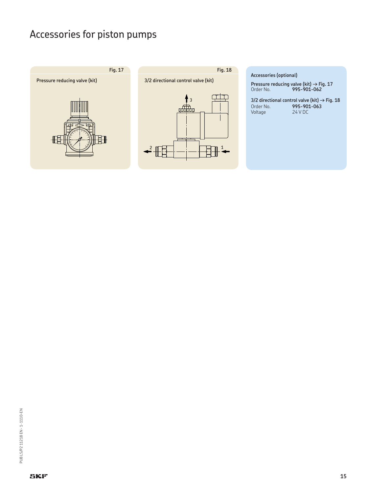## Accessories for piston pumps







**Accessories (optional)**

**Pressure reducing valve (kit) → Fig. 17** Order No. **995-901-062**

**3/2 directional control valve (kit) → Fig. 18**<br>Order No. **995-901-063** Order No. **995-901-063** Voltage 24 V DC